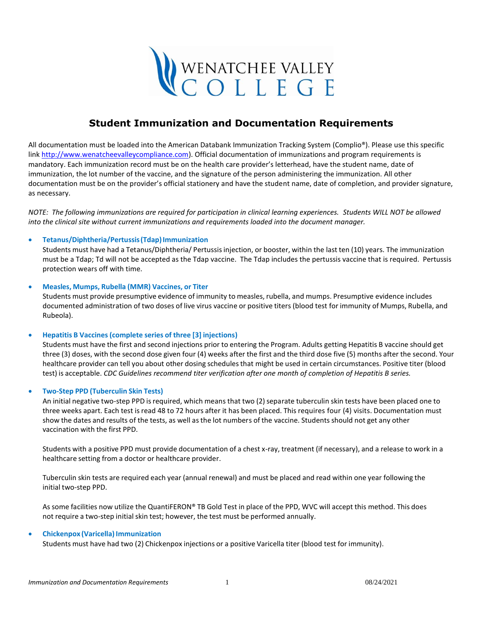

# **Student Immunization and Documentation Requirements**

All documentation must be loaded into the American Databank Immunization Tracking System (Complio®). Please use this specific lin[k http://www.wenatcheevalleycompliance.com\)](http://www.wenatcheevalleycompliance.com/). Official documentation of immunizations and program requirements is mandatory. Each immunization record must be on the health care provider's letterhead, have the student name, date of immunization, the lot number of the vaccine, and the signature of the person administering the immunization. All other documentation must be on the provider's official stationery and have the student name, date of completion, and provider signature, as necessary.

*NOTE: The following immunizations are required for participation in clinical learning experiences. Students WILL NOT be allowed into the clinical site without current immunizations and requirements loaded into the document manager.*

### • **Tetanus/Diphtheria/Pertussis(Tdap)Immunization**

Students must have had a Tetanus/Diphtheria/ Pertussisinjection, or booster, within the last ten (10) years. The immunization must be a Tdap; Td will not be accepted as the Tdap vaccine. The Tdap includes the pertussis vaccine that is required. Pertussis protection wears off with time.

### • **Measles, Mumps, Rubella (MMR) Vaccines, or Titer**

Students must provide presumptive evidence of immunity to measles, rubella, and mumps. Presumptive evidence includes documented administration of two doses of live virus vaccine or positive titers (blood test for immunity of Mumps, Rubella, and Rubeola).

### • **Hepatitis B Vaccines (complete series of three [3] injections)**

Students must have the first and second injections prior to entering the Program. Adults getting Hepatitis B vaccine should get three (3) doses, with the second dose given four (4) weeks after the first and the third dose five (5) months after the second. Your healthcare provider can tell you about other dosing schedules that might be used in certain circumstances. Positive titer (blood test) is acceptable. *CDC Guidelines recommend titer verification after one month of completion of Hepatitis B series.*

### • **Two-Step PPD (Tuberculin Skin Tests)**

An initial negative two-step PPD is required, which means that two (2) separate tuberculin skin tests have been placed one to three weeks apart. Each test is read 48 to 72 hours after it has been placed. This requires four (4) visits. Documentation must show the dates and results of the tests, as well asthe lot numbers of the vaccine. Students should not get any other vaccination with the first PPD.

Students with a positive PPD must provide documentation of a chest x-ray, treatment (if necessary), and a release to work in a healthcare setting from a doctor or healthcare provider.

Tuberculin skin tests are required each year (annual renewal) and must be placed and read within one year following the initial two-step PPD.

As some facilities now utilize the QuantiFERON® TB Gold Test in place of the PPD, WVC will accept this method. This does not require a two-step initial skin test; however, the test must be performed annually.

### • **Chickenpox (Varicella) Immunization**

Students must have had two (2) Chickenpox injections or a positive Varicella titer (blood test for immunity).